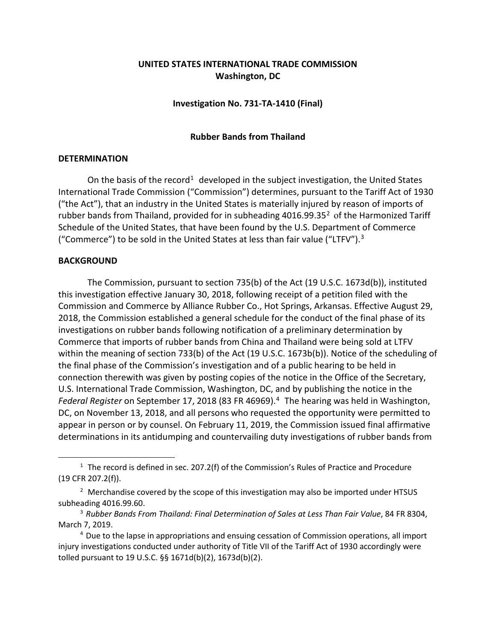# **UNITED STATES INTERNATIONAL TRADE COMMISSION Washington, DC**

# **Investigation No. 731-TA-1410 (Final)**

#### **Rubber Bands from Thailand**

## **DETERMINATION**

On the basis of the record<sup>[1](#page-0-0)</sup> developed in the subject investigation, the United States International Trade Commission ("Commission") determines, pursuant to the Tariff Act of 1930 ("the Act"), that an industry in the United States is materially injured by reason of imports of rubber bands from Thailand, provided for in subheading  $4016.99.35<sup>2</sup>$  $4016.99.35<sup>2</sup>$  $4016.99.35<sup>2</sup>$  of the Harmonized Tariff Schedule of the United States, that have been found by the U.S. Department of Commerce ("Commerce") to be sold in the United States at less than fair value ("LTFV").[3](#page-0-2)

## **BACKGROUND**

 $\overline{a}$ 

The Commission, pursuant to section 735(b) of the Act (19 U.S.C. 1673d(b)), instituted this investigation effective January 30, 2018, following receipt of a petition filed with the Commission and Commerce by Alliance Rubber Co., Hot Springs, Arkansas. Effective August 29, 2018, the Commission established a general schedule for the conduct of the final phase of its investigations on rubber bands following notification of a preliminary determination by Commerce that imports of rubber bands from China and Thailand were being sold at LTFV within the meaning of section 733(b) of the Act (19 U.S.C. 1673b(b)). Notice of the scheduling of the final phase of the Commission's investigation and of a public hearing to be held in connection therewith was given by posting copies of the notice in the Office of the Secretary, U.S. International Trade Commission, Washington, DC, and by publishing the notice in the Federal Register on September 17, 2018 (83 FR [4](#page-0-3)6969).<sup>4</sup> The hearing was held in Washington, DC, on November 13, 2018, and all persons who requested the opportunity were permitted to appear in person or by counsel. On February 11, 2019, the Commission issued final affirmative determinations in its antidumping and countervailing duty investigations of rubber bands from

<span id="page-0-0"></span> $1$  The record is defined in sec. 207.2(f) of the Commission's Rules of Practice and Procedure (19 CFR 207.2(f)).

<span id="page-0-1"></span><sup>&</sup>lt;sup>2</sup> Merchandise covered by the scope of this investigation may also be imported under HTSUS subheading 4016.99.60.

<span id="page-0-2"></span><sup>3</sup> *Rubber Bands From Thailand: Final Determination of Sales at Less Than Fair Value*, 84 FR 8304, March 7, 2019.

<span id="page-0-3"></span><sup>4</sup> Due to the lapse in appropriations and ensuing cessation of Commission operations, all import injury investigations conducted under authority of Title VII of the Tariff Act of 1930 accordingly were tolled pursuant to 19 U.S.C. §§ 1671d(b)(2), 1673d(b)(2).